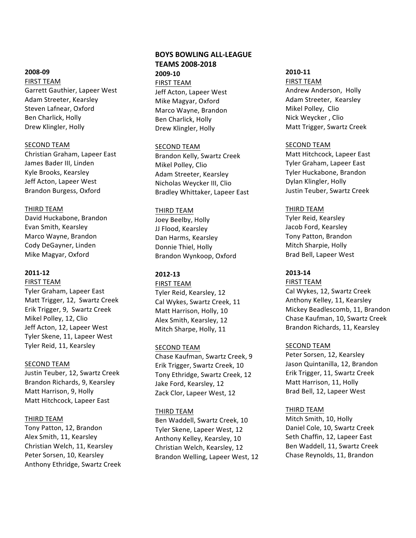#### **2008-09**

FIRST TEAM Garrett Gauthier, Lapeer West Adam Streeter, Kearsley Steven Lafnear, Oxford Ben Charlick, Holly Drew Klingler, Holly

#### **SECOND TEAM**

Christian Graham, Lapeer East James Bader III, Linden Kyle Brooks, Kearsley Jeff Acton, Lapeer West Brandon Burgess, Oxford

### THIRD TEAM

David Huckabone, Brandon Evan Smith, Kearsley Marco Wayne, Brandon Cody DeGayner, Linden Mike Magyar, Oxford

# **2011-12**

**FIRST TEAM** Tyler Graham, Lapeer East Matt Trigger, 12, Swartz Creek Erik Trigger, 9, Swartz Creek Mikel Polley, 12, Clio Jeff Acton, 12, Lapeer West Tyler Skene, 11, Lapeer West Tyler Reid, 11, Kearsley

# SECOND TEAM

Justin Teuber, 12, Swartz Creek Brandon Richards, 9, Kearsley Matt Harrison, 9, Holly Matt Hitchcock, Lapeer East

# THIRD TEAM

Tony Patton, 12, Brandon Alex Smith, 11, Kearsley Christian Welch, 11, Kearsley Peter Sorsen, 10, Kearsley Anthony Ethridge, Swartz Creek

# **BOYS BOWLING ALL-LEAGUE TEAMS 2008-2018 2009-10 FIRST TEAM**

Jeff Acton, Lapeer West Mike Magyar, Oxford Marco Wayne, Brandon Ben Charlick, Holly Drew Klingler, Holly

### **SECOND TEAM**

Brandon Kelly, Swartz Creek Mikel Polley, Clio Adam Streeter, Kearsley Nicholas Weycker III, Clio Bradley Whittaker, Lapeer East

### **THIRD TEAM**

Joey Beelby, Holly JJ Flood, Kearsley Dan Harms, Kearsley Donnie Thiel, Holly Brandon Wynkoop, Oxford

# **2012-13**

**FIRST TEAM** Tyler Reid, Kearsley, 12 Cal Wykes, Swartz Creek, 11 Matt Harrison, Holly, 10 Alex Smith, Kearsley, 12 Mitch Sharpe, Holly, 11

# SECOND TEAM

Chase Kaufman, Swartz Creek, 9 Erik Trigger, Swartz Creek, 10 Tony Ethridge, Swartz Creek, 12 Jake Ford, Kearsley, 12 Zack Clor, Lapeer West, 12

# THIRD TEAM

Ben Waddell, Swartz Creek, 10 Tyler Skene, Lapeer West, 12 Anthony Kelley, Kearsley, 10 Christian Welch, Kearsley, 12 Brandon Welling, Lapeer West, 12

### **2010-11**

**FIRST TEAM** Andrew Anderson, Holly Adam Streeter, Kearsley Mikel Polley, Clio Nick Weycker, Clio Matt Trigger, Swartz Creek

### **SECOND TEAM**

Matt Hitchcock, Lapeer East Tyler Graham, Lapeer East Tyler Huckabone, Brandon Dylan Klingler, Holly Justin Teuber, Swartz Creek

# THIRD TEAM

Tyler Reid, Kearsley Jacob Ford, Kearsley Tony Patton, Brandon Mitch Sharpie, Holly Brad Bell, Lapeer West

# **2013-14**

**FIRST TEAM** Cal Wykes, 12, Swartz Creek Anthony Kelley, 11, Kearsley Mickey Beadlescomb, 11, Brandon Chase Kaufman, 10, Swartz Creek Brandon Richards, 11, Kearsley

# SECOND TEAM

Peter Sorsen, 12, Kearsley Jason Quintanilla, 12, Brandon Erik Trigger, 11, Swartz Creek Matt Harrison, 11, Holly Brad Bell, 12, Lapeer West

# THIRD TEAM

Mitch Smith, 10, Holly Daniel Cole, 10, Swartz Creek Seth Chaffin, 12, Lapeer East Ben Waddell, 11, Swartz Creek Chase Reynolds, 11, Brandon